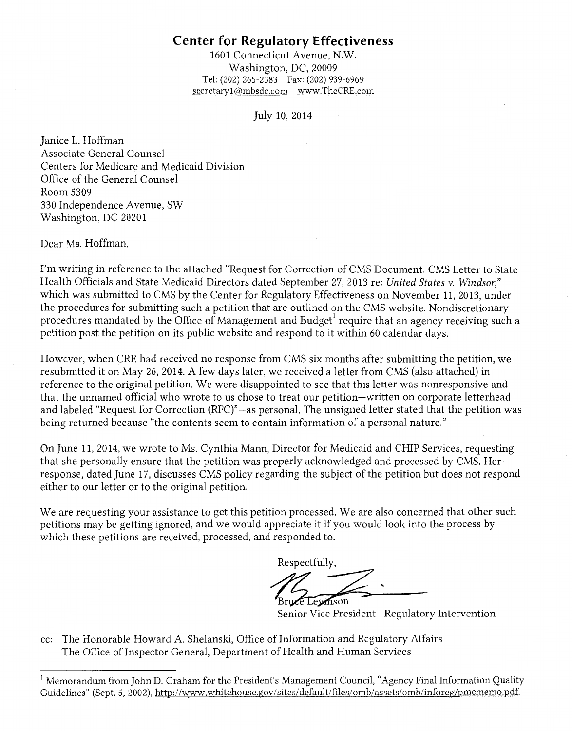1601 Connecticut Avenue, N.W. Washington, DC, 20009 Tel: (202) 265-2383 Fax: (202) 939-6969 secretary1 @mbsdc.com www.TheCRE.com

#### July 10, 2014

Janice L. Hoffman Associate General Counsel Centers for Medicare and Medicaid Division Office of the General Counsel Room 5309 330 Independence Avenue, SW Washington, DC 20201

Dear Ms. Hoffman,

I'm writing in reference to the attached "Request for Correction of CMS Document: CMS Letter to State Health Officials and State Medicaid Directors dated September 27, 2013 re: *United States* v. *Windsor,"*  which was submitted to CMS by the Center for Regulatory Effectiveness on November 11, 2013, under the procedures for submitting such a petition that are outlined on the CMS website. Nondiscretionary procedures mandated by the Office of Management and Budget<sup>1</sup> require that an agency receiving such a petition post the petition on its public website and respond to it within 60 calendar days.

However, when CRE had received no response from CMS six months after submitting the petition, we resubmitted it on May 26, 2014. A few days later, we received a letter from CMS (also attached) in reference to the original petition. We were disappointed to see that this letter was nonresponsive and that the unnamed official who wrote to us chose to treat our petition-written on corporate letterhead and labeled "Request for Correction (RFC)"-as personal. The unsigned letter stated that the petition was being returned because "the contents seem to contain information of a personal nature."

On June 11, 2014, we wrote to Ms. Cynthia Mann, Director for Medicaid and CHIP Services, requesting that she personally ensure that the petition was properly acknowledged and processed by CMS. Her response, dated June 17, discusses CMS policy regarding the subject of the petition but does not respond either to our letter or to the original petition.

We are requesting your assistance to get this petition processed. We are also concerned that other such petitions may be getting ignored, and we would appreciate it if you would look into the process by which these petitions are received, processed, and responded to.

Respectfully, e Levinson

Senior Vice President-Regulatory Intervention

cc: The Honorable Howard A Shelanski, Office of Information and Regulatory Affairs The Office of Inspector General, Department of Health and Human Services

<sup>&</sup>lt;sup>1</sup> Memorandum from John D. Graham for the President's Management Council, "Agency Final Information Quality Guidelines" (Sept. 5, 2002), http://www.whitehouse.gov/sites/default/files/omb/assets/omb/inforeg/pmcmemo.pdf.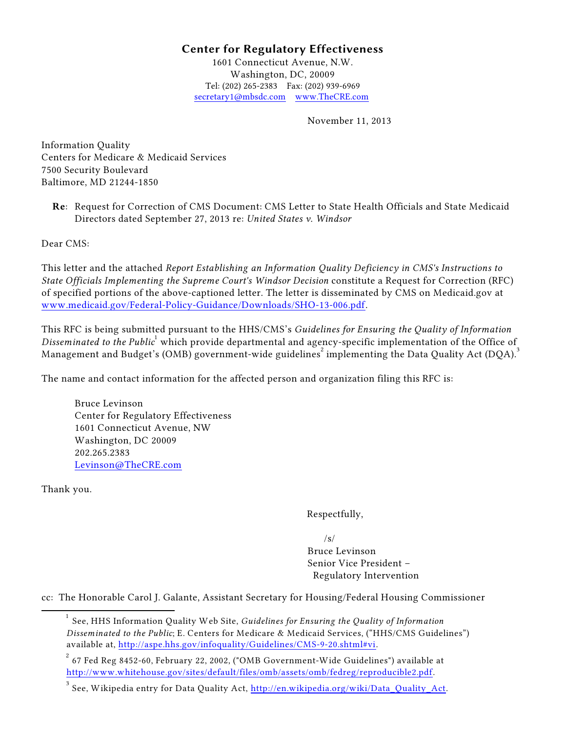1601 Connecticut Avenue, N.W. Washington, DC, 20009 Tel: (202) 265-2383 Fax: (202) 939-6969 [secretary1@mbsdc.com](mailto:secretary1@mbsdc.com) [www.TheCRE.com](http://www.TheCRE.com)

November 11, 2013

Information Quality Centers for Medicare & Medicaid Services 7500 Security Boulevard Baltimore, MD 21244-1850

**Re**: Request for Correction of CMS Document: CMS Letter to State Health Officials and State Medicaid Directors dated September 27, 2013 re: *United States v. Windsor*

Dear CMS:

This letter and the attached *Report Establishing an Information Quality Deficiency in CMS's Instructions to State Officials Implementing the Supreme Court's Windsor Decision* constitute a Request for Correction (RFC) of specified portions of the above-captioned letter. The letter is disseminated by CMS on Medicaid.gov at [www.medicaid.gov/Federal-Policy-Guidance/Downloads/SHO-13-006.pdf](http://www.medicaid.gov/Federal-Policy-Guidance/Downloads/SHO-13-006.pdf).

This RFC is being submitted pursuant to the HHS/CMS's *Guidelines for Ensuring the Quality of Information* Disseminated to the Public<sup>1</sup> which provide departmental and agency-specific implementation of the Office of Management and Budget's (OMB) government-wide guidelines<sup>2</sup> implementing the Data Quality Act (DQA).<sup>3</sup>

The name and contact information for the affected person and organization filing this RFC is:

Bruce Levinson Center for Regulatory Effectiveness 1601 Connecticut Avenue, NW Washington, DC 20009 202.265.2383 [Levinson@TheCRE.com](mailto:Levinson@TheCRE.com)

Thank you.

Respectfully,

 $\sqrt{s}$ Bruce Levinson Senior Vice President – Regulatory Intervention

cc: The Honorable Carol J. Galante, Assistant Secretary for Housing/Federal Housing Commissioner

See, HHS Information Quality Web Site, *Guidelines for Ensuring the Quality of Information* 1 *Disseminated to the Public*; E. Centers for Medicare & Medicaid Services, ("HHS/CMS Guidelines") available at, <http://aspe.hhs.gov/infoquality/Guidelines/CMS-9-20.shtml#vi>.

 $^{\rm 2}$  67 Fed Reg 8452-60, February 22, 2002, ("OMB Government-Wide Guidelines") available at <http://www.whitehouse.gov/sites/default/files/omb/assets/omb/fedreg/reproducible2.pdf>.

 $^3$  See, Wikipedia entry for Data Quality Act,  $\overline{\text{http://en.wikipedia.org/wiki/Data\_Quality\_Act.}}$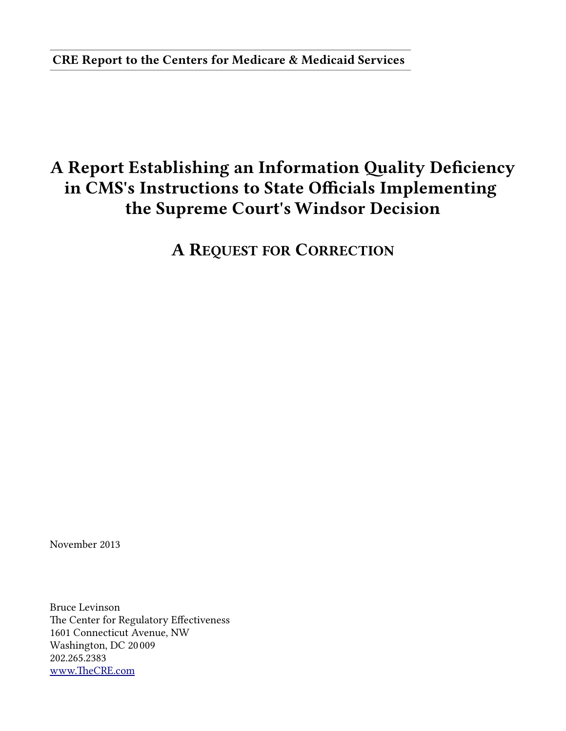CRE Report to the Centers for Medicare & Medicaid Services

# A Report Establishing an Information Quality Deficiency in CMS's Instructions to State Officials Implementing the Supreme Court's Windsor Decision

A REQUEST FOR CORRECTION

November 2013

Bruce Levinson The Center for Regulatory Effectiveness 1601 Connecticut Avenue, NW Washington, DC 200009 202.265.23833 www.TheCRE.com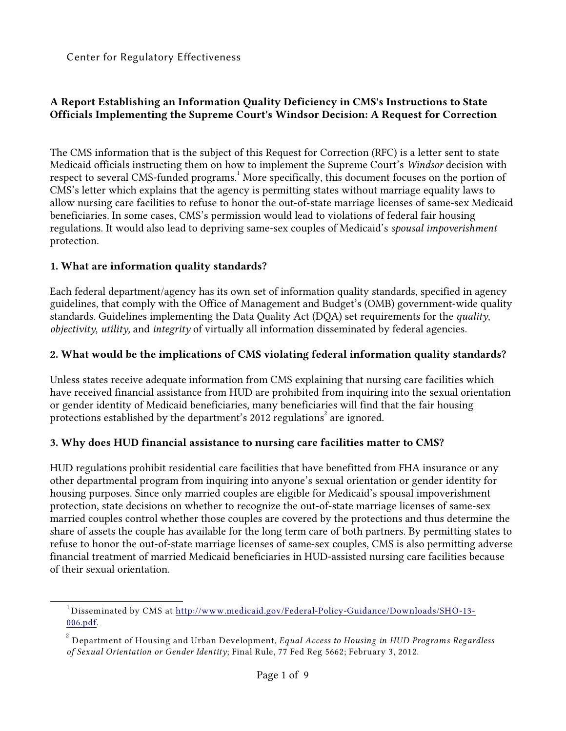## **A Report Establishing an Information Quality Deficiency in CMS's Instructions to State Officials Implementing the Supreme Court's Windsor Decision: A Request for Correction**

The CMS information that is the subject of this Request for Correction (RFC) is a letter sent to state Medicaid officials instructing them on how to implement the Supreme Court's *Windsor* decision with respect to several CMS-funded programs.<sup>1</sup> More specifically, this document focuses on the portion of CMS's letter which explains that the agency is permitting states without marriage equality laws to allow nursing care facilities to refuse to honor the out-of-state marriage licenses of same-sex Medicaid beneficiaries. In some cases, CMS's permission would lead to violations of federal fair housing regulations. It would also lead to depriving same-sex couples of Medicaid's *spousal impoverishment* protection.

#### **1. What are information quality standards?**

Each federal department/agency has its own set of information quality standards, specified in agency guidelines, that comply with the Office of Management and Budget's (OMB) government-wide quality standards. Guidelines implementing the Data Quality Act (DQA) set requirements for the *quality*, *objectivity*, *utility,* and *integrity* of virtually all information disseminated by federal agencies.

#### **2. What would be the implications of CMS violating federal information quality standards?**

Unless states receive adequate information from CMS explaining that nursing care facilities which have received financial assistance from HUD are prohibited from inquiring into the sexual orientation or gender identity of Medicaid beneficiaries, many beneficiaries will find that the fair housing protections established by the department's 2012 regulations<sup>2</sup> are ignored.

#### **3. Why does HUD financial assistance to nursing care facilities matter to CMS?**

HUD regulations prohibit residential care facilities that have benefitted from FHA insurance or any other departmental program from inquiring into anyone's sexual orientation or gender identity for housing purposes. Since only married couples are eligible for Medicaid's spousal impoverishment protection, state decisions on whether to recognize the out-of-state marriage licenses of same-sex married couples control whether those couples are covered by the protections and thus determine the share of assets the couple has available for the long term care of both partners. By permitting states to refuse to honor the out-of-state marriage licenses of same-sex couples, CMS is also permitting adverse financial treatment of married Medicaid beneficiaries in HUD-assisted nursing care facilities because of their sexual orientation.

<sup>&</sup>lt;sup>1</sup> Disseminated by CMS at [http://www.medicaid.gov/Federal-Policy-Guidance/Downloads/SHO-13-](http://www.medicaid.gov/Federal-Policy-Guidance/Downloads/SHO-13-006.pdf) [006.pdf](http://www.medicaid.gov/Federal-Policy-Guidance/Downloads/SHO-13-006.pdf).

Department of Housing and Urban Development, *Equal Access to Housing in HUD Programs Regardless* 2 *of Sexual Orientation or Gender Identity*; Final Rule, 77 Fed Reg 5662; February 3, 2012.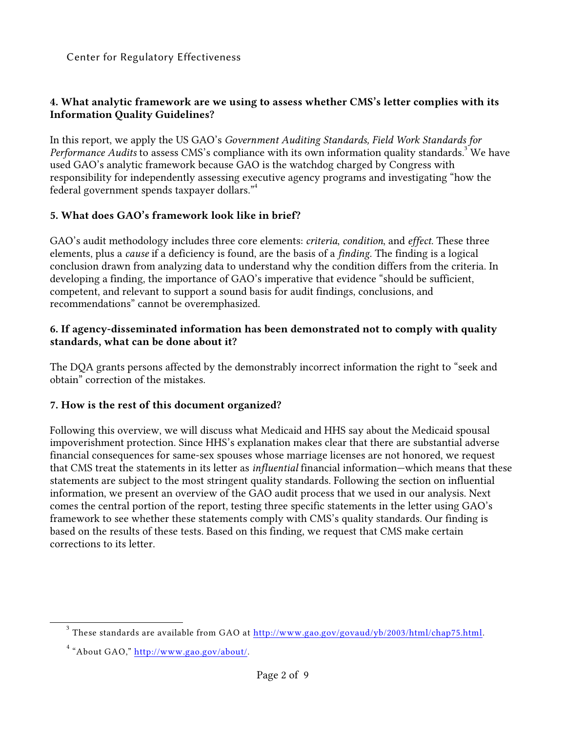#### **4. What analytic framework are we using to assess whether CMS's letter complies with its Information Quality Guidelines?**

In this report, we apply the US GAO's *Government Auditing Standards, Field Work Standards for Performance Audits* to assess CMS's compliance with its own information quality standards.<sup>3</sup> We have used GAO's analytic framework because GAO is the watchdog charged by Congress with responsibility for independently assessing executive agency programs and investigating "how the federal government spends taxpayer dollars."<sup>4</sup>

#### **5. What does GAO's framework look like in brief?**

GAO's audit methodology includes three core elements: *criteria*, *condition*, and *effect*. These three elements, plus a *cause* if a deficiency is found, are the basis of a *finding*. The finding is a logical conclusion drawn from analyzing data to understand why the condition differs from the criteria. In developing a finding, the importance of GAO's imperative that evidence "should be sufficient, competent, and relevant to support a sound basis for audit findings, conclusions, and recommendations" cannot be overemphasized.

#### **6. If agency-disseminated information has been demonstrated not to comply with quality standards, what can be done about it?**

The DQA grants persons affected by the demonstrably incorrect information the right to "seek and obtain" correction of the mistakes.

#### **7. How is the rest of this document organized?**

Following this overview, we will discuss what Medicaid and HHS say about the Medicaid spousal impoverishment protection. Since HHS's explanation makes clear that there are substantial adverse financial consequences for same-sex spouses whose marriage licenses are not honored, we request that CMS treat the statements in its letter as *influential* financial information—which means that these statements are subject to the most stringent quality standards. Following the section on influential information, we present an overview of the GAO audit process that we used in our analysis. Next comes the central portion of the report, testing three specific statements in the letter using GAO's framework to see whether these statements comply with CMS's quality standards. Our finding is based on the results of these tests. Based on this finding, we request that CMS make certain corrections to its letter.

 $^3$  These standards are available from GAO at  $\overline{\text{http://www.gao.gov/govaud/yb/2003/http://www.gaoy/govaud/yb/2003/http://www.gaoy/govaud/yb/2003/http://www.gaoy/govaud/yb/2003/http://www.gaoy/govaud/yb/2003/http://www.gaoy/govaud/yb/2003/http://www.gaoy/govaud/yb/2003/http://www.gaoy/govaud/yb/2003/http://www.gaoy/govaud/yb/2003/http://www.gaoy/govaud/yb/2003/http://www.gaoy/g$ 

<sup>&</sup>lt;sup>4</sup> "About GAO," <http://www.gao.gov/about/>.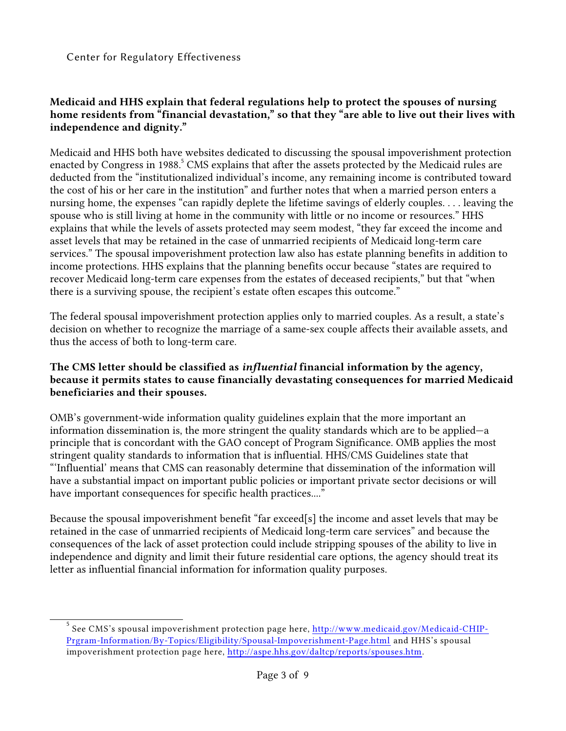#### **Medicaid and HHS explain that federal regulations help to protect the spouses of nursing home residents from "financial devastation," so that they "are able to live out their lives with independence and dignity."**

Medicaid and HHS both have websites dedicated to discussing the spousal impoverishment protection enacted by Congress in 1988.<sup>5</sup> CMS explains that after the assets protected by the Medicaid rules are deducted from the "institutionalized individual's income, any remaining income is contributed toward the cost of his or her care in the institution" and further notes that when a married person enters a nursing home, the expenses "can rapidly deplete the lifetime savings of elderly couples. . . . leaving the spouse who is still living at home in the community with little or no income or resources." HHS explains that while the levels of assets protected may seem modest, "they far exceed the income and asset levels that may be retained in the case of unmarried recipients of Medicaid long-term care services." The spousal impoverishment protection law also has estate planning benefits in addition to income protections. HHS explains that the planning benefits occur because "states are required to recover Medicaid long-term care expenses from the estates of deceased recipients," but that "when there is a surviving spouse, the recipient's estate often escapes this outcome."

The federal spousal impoverishment protection applies only to married couples. As a result, a state's decision on whether to recognize the marriage of a same-sex couple affects their available assets, and thus the access of both to long-term care.

#### **The CMS letter should be classified as** *influential* **financial information by the agency, because it permits states to cause financially devastating consequences for married Medicaid beneficiaries and their spouses.**

OMB's government-wide information quality guidelines explain that the more important an information dissemination is, the more stringent the quality standards which are to be applied—a principle that is concordant with the GAO concept of Program Significance. OMB applies the most stringent quality standards to information that is influential. HHS/CMS Guidelines state that "'Influential' means that CMS can reasonably determine that dissemination of the information will have a substantial impact on important public policies or important private sector decisions or will have important consequences for specific health practices...."

Because the spousal impoverishment benefit "far exceed[s] the income and asset levels that may be retained in the case of unmarried recipients of Medicaid long-term care services" and because the consequences of the lack of asset protection could include stripping spouses of the ability to live in independence and dignity and limit their future residential care options, the agency should treat its letter as influential financial information for information quality purposes.

 $^5$  See CMS's spousal impoverishment protection page here,  $\overline{\text{http://www.medical.gov/Medical-CHIP-}}$ [Prgram-Information/By-Topics/Eligibility/Spousal-Impoverishment-Page.html](http://www.medicaid.gov/Medicaid-CHIP-Program-Information/By-Topics/Eligibility/Spousal-Impoverishment-Page.html) and HHS's spousal impoverishment protection page here, <http://aspe.hhs.gov/daltcp/reports/spouses.htm>.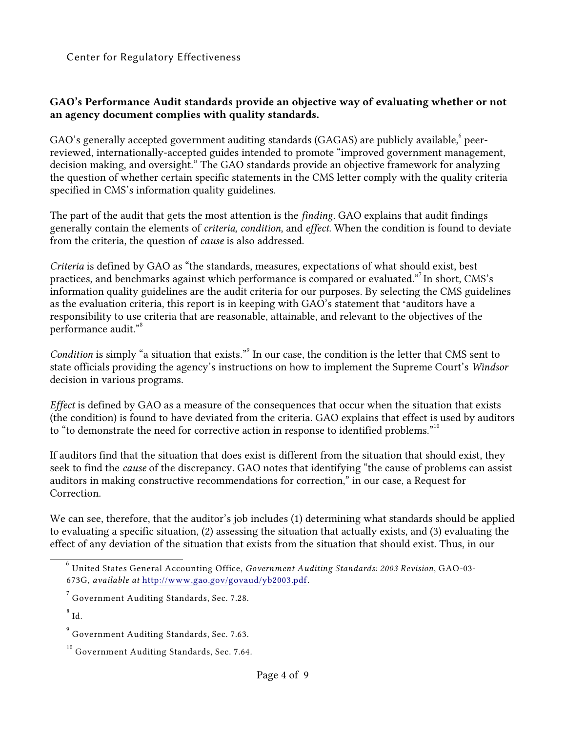#### **GAO's Performance Audit standards provide an objective way of evaluating whether or not an agency document complies with quality standards.**

GAO's generally accepted government auditing standards (GAGAS) are publicly available, $^{\rm 6}$  peerreviewed, internationally-accepted guides intended to promote "improved government management, decision making, and oversight." The GAO standards provide an objective framework for analyzing the question of whether certain specific statements in the CMS letter comply with the quality criteria specified in CMS's information quality guidelines.

The part of the audit that gets the most attention is the *finding*. GAO explains that audit findings generally contain the elements of *criteria*, *condition*, and *effect*. When the condition is found to deviate from the criteria, the question of *cause* is also addressed.

*Criteria* is defined by GAO as "the standards, measures, expectations of what should exist, best practices, and benchmarks against which performance is compared or evaluated."<sup>7</sup> In short, CMS's information quality guidelines are the audit criteria for our purposes. By selecting the CMS guidelines as the evaluation criteria, this report is in keeping with GAO's statement that "auditors have a responsibility to use criteria that are reasonable, attainable, and relevant to the objectives of the performance audit."<sup>8</sup>

*Condition* is simply "a situation that exists."<sup>9</sup> In our case, the condition is the letter that CMS sent to state officials providing the agency's instructions on how to implement the Supreme Court's *Windsor* decision in various programs.

*Effect* is defined by GAO as a measure of the consequences that occur when the situation that exists (the condition) is found to have deviated from the criteria. GAO explains that effect is used by auditors to "to demonstrate the need for corrective action in response to identified problems."<sup>10</sup>

If auditors find that the situation that does exist is different from the situation that should exist, they seek to find the *cause* of the discrepancy. GAO notes that identifying "the cause of problems can assist auditors in making constructive recommendations for correction," in our case, a Request for Correction.

We can see, therefore, that the auditor's job includes (1) determining what standards should be applied to evaluating a specific situation, (2) assessing the situation that actually exists, and (3) evaluating the effect of any deviation of the situation that exists from the situation that should exist. Thus, in our

United States General Accounting Office, *Government Auditing Standards: 2003 Revision*, GAO-03- 6 673G, *available at* <http://www.gao.gov/govaud/yb2003.pdf>.

 $^7$  Government Auditing Standards, Sec. 7.28.

 $^8$  Id.

 $^9$  Government Auditing Standards, Sec. 7.63.

 $^{10}$  Government Auditing Standards, Sec. 7.64.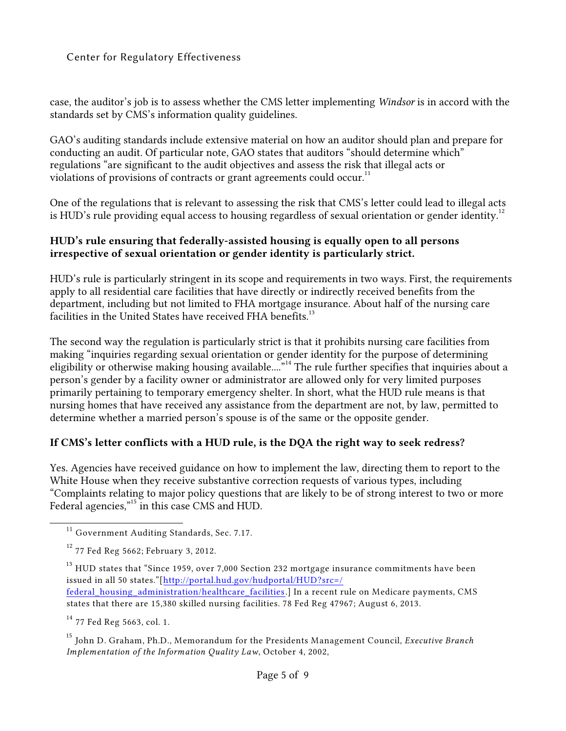case, the auditor's job is to assess whether the CMS letter implementing *Windsor* is in accord with the standards set by CMS's information quality guidelines.

GAO's auditing standards include extensive material on how an auditor should plan and prepare for conducting an audit. Of particular note, GAO states that auditors "should determine which" regulations "are significant to the audit objectives and assess the risk that illegal acts or violations of provisions of contracts or grant agreements could occur.<sup>11</sup>

One of the regulations that is relevant to assessing the risk that CMS's letter could lead to illegal acts is HUD's rule providing equal access to housing regardless of sexual orientation or gender identity.<sup>12</sup>

#### **HUD's rule ensuring that federally-assisted housing is equally open to all persons irrespective of sexual orientation or gender identity is particularly strict.**

HUD's rule is particularly stringent in its scope and requirements in two ways. First, the requirements apply to all residential care facilities that have directly or indirectly received benefits from the department, including but not limited to FHA mortgage insurance. About half of the nursing care facilities in the United States have received FHA benefits.<sup>13</sup>

The second way the regulation is particularly strict is that it prohibits nursing care facilities from making "inquiries regarding sexual orientation or gender identity for the purpose of determining eligibility or otherwise making housing available...."<sup>14</sup> The rule further specifies that inquiries about a person's gender by a facility owner or administrator are allowed only for very limited purposes primarily pertaining to temporary emergency shelter. In short, what the HUD rule means is that nursing homes that have received any assistance from the department are not, by law, permitted to determine whether a married person's spouse is of the same or the opposite gender.

#### **If CMS's letter conflicts with a HUD rule, is the DQA the right way to seek redress?**

Yes. Agencies have received guidance on how to implement the law, directing them to report to the White House when they receive substantive correction requests of various types, including "Complaints relating to major policy questions that are likely to be of strong interest to two or more Federal agencies,"<sup>15</sup> in this case CMS and HUD.

 $^{\rm 13}$  HUD states that "Since 1959, over 7,000 Section 232 mortgage insurance commitments have been issued in all 50 states."[\[http://portal.hud.gov/hudportal/HUD?src=/](%20http://portal.hud.gov/hudportal/HUD?src=/) federal housing administration/healthcare facilities.] In a recent rule on Medicare payments, CMS states that there are 15,380 skilled nursing facilities. 78 Fed Reg 47967; August 6, 2013.

 $14$  77 Fed Reg 5663, col. 1.

<sup>15</sup> John D. Graham, Ph.D., Memorandum for the Presidents Management Council, *Executive Branch Implementation of the Information Quality Law*, October 4, 2002,

<sup>&</sup>lt;sup>11</sup> Government Auditing Standards, Sec. 7.17.

 $12$  77 Fed Reg 5662; February 3, 2012.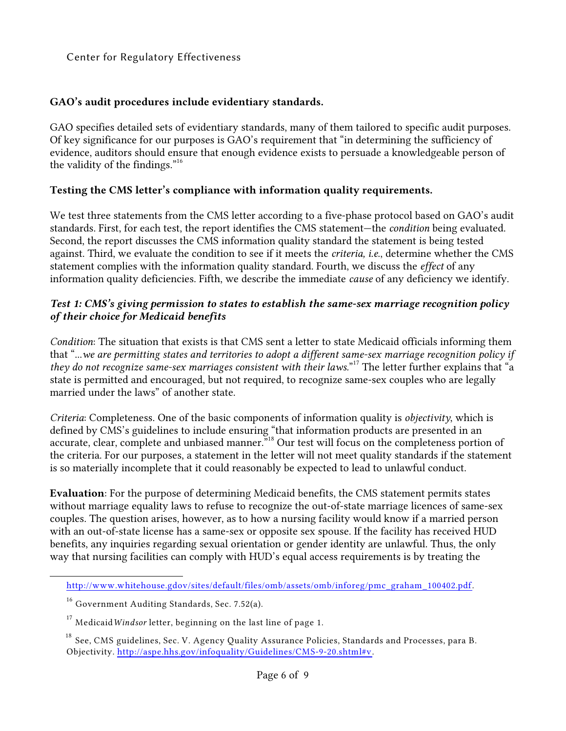#### **GAO's audit procedures include evidentiary standards.**

GAO specifies detailed sets of evidentiary standards, many of them tailored to specific audit purposes. Of key significance for our purposes is GAO's requirement that "in determining the sufficiency of evidence, auditors should ensure that enough evidence exists to persuade a knowledgeable person of the validity of the findings. $n^{16}$ 

#### **Testing the CMS letter's compliance with information quality requirements.**

We test three statements from the CMS letter according to a five-phase protocol based on GAO's audit standards. First, for each test, the report identifies the CMS statement—the *condition* being evaluated. Second, the report discusses the CMS information quality standard the statement is being tested against. Third, we evaluate the condition to see if it meets the *criteria, i.e*., determine whether the CMS statement complies with the information quality standard. Fourth, we discuss the *effect* of any information quality deficiencies. Fifth, we describe the immediate *cause* of any deficiency we identify.

#### *Test 1: CMS's giving permission to states to establish the same-sex marriage recognition policy of their choice for Medicaid benefits*

*Condition*: The situation that exists is that CMS sent a letter to state Medicaid officials informing them that "...*we are permitting states and territories to adopt a different same-sex marriage recognition policy if they do not recognize same-sex marriages consistent with their laws.*" The letter further explains that "a <sup>17</sup> state is permitted and encouraged, but not required, to recognize same-sex couples who are legally married under the laws" of another state.

*Criteria*: Completeness. One of the basic components of information quality is *objectivity*, which is defined by CMS's guidelines to include ensuring "that information products are presented in an accurate, clear, complete and unbiased manner."<sup>18</sup> Our test will focus on the completeness portion of the criteria. For our purposes, a statement in the letter will not meet quality standards if the statement is so materially incomplete that it could reasonably be expected to lead to unlawful conduct.

**Evaluation**: For the purpose of determining Medicaid benefits, the CMS statement permits states without marriage equality laws to refuse to recognize the out-of-state marriage licences of same-sex couples. The question arises, however, as to how a nursing facility would know if a married person with an out-of-state license has a same-sex or opposite sex spouse. If the facility has received HUD benefits, any inquiries regarding sexual orientation or gender identity are unlawful. Thus, the only way that nursing facilities can comply with HUD's equal access requirements is by treating the

[http://www.whitehouse.gdov/sites/default/files/omb/assets/omb/inforeg/pmc\\_graham\\_100402.pdf](http://www.whitehouse.gov/sites/default/files/omb/assets/omb/inforeg/pmc_graham_100402.pdf).

 $^{16}$  Government Auditing Standards, Sec. 7.52(a).

 $^{17}$  Medicaid*Windsor* letter, beginning on the last line of page 1.

 $^\mathrm{18}$  See, CMS guidelines, Sec. V. Agency Quality Assurance Policies, Standards and Processes, para B. Objectivity. <http://aspe.hhs.gov/infoquality/Guidelines/CMS-9-20.shtml#v>.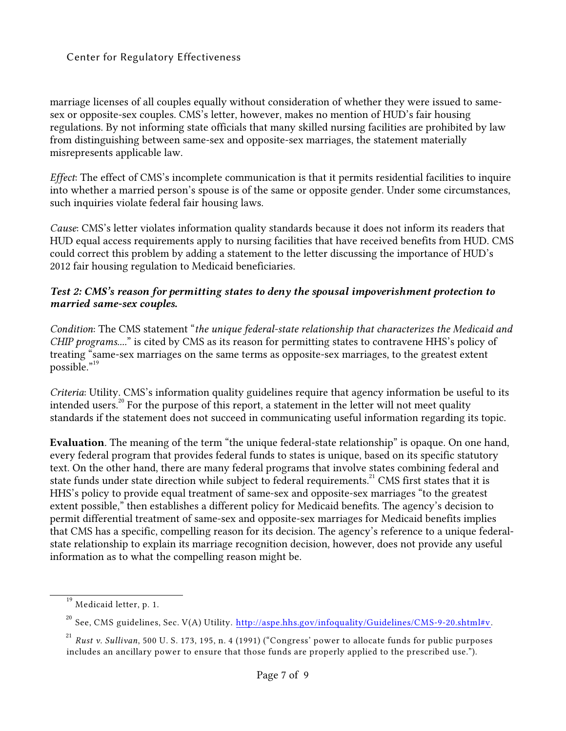marriage licenses of all couples equally without consideration of whether they were issued to samesex or opposite-sex couples. CMS's letter, however, makes no mention of HUD's fair housing regulations. By not informing state officials that many skilled nursing facilities are prohibited by law from distinguishing between same-sex and opposite-sex marriages, the statement materially misrepresents applicable law.

*Effect*: The effect of CMS's incomplete communication is that it permits residential facilities to inquire into whether a married person's spouse is of the same or opposite gender. Under some circumstances, such inquiries violate federal fair housing laws.

*Cause*: CMS's letter violates information quality standards because it does not inform its readers that HUD equal access requirements apply to nursing facilities that have received benefits from HUD. CMS could correct this problem by adding a statement to the letter discussing the importance of HUD's 2012 fair housing regulation to Medicaid beneficiaries.

#### *Test 2: CMS's reason for permitting states to deny the spousal impoverishment protection to married same-sex couples.*

*Condition*: The CMS statement "*the unique federal-state relationship that characterizes the Medicaid and CHIP programs....*" is cited by CMS as its reason for permitting states to contravene HHS's policy of treating "same-sex marriages on the same terms as opposite-sex marriages, to the greatest extent possible."<sup>19</sup>

*Criteria*: Utility. CMS's information quality guidelines require that agency information be useful to its intended users.<sup>20</sup> For the purpose of this report, a statement in the letter will not meet quality standards if the statement does not succeed in communicating useful information regarding its topic.

**Evaluation***.* The meaning of the term "the unique federal-state relationship" is opaque. On one hand, every federal program that provides federal funds to states is unique, based on its specific statutory text. On the other hand, there are many federal programs that involve states combining federal and state funds under state direction while subject to federal requirements.<sup>21</sup> CMS first states that it is HHS's policy to provide equal treatment of same-sex and opposite-sex marriages "to the greatest extent possible," then establishes a different policy for Medicaid benefits. The agency's decision to permit differential treatment of same-sex and opposite-sex marriages for Medicaid benefits implies that CMS has a specific, compelling reason for its decision. The agency's reference to a unique federalstate relationship to explain its marriage recognition decision, however, does not provide any useful information as to what the compelling reason might be.

 $^{19}$  Medicaid letter, p. 1.

 $^{20}$  See, CMS guidelines, Sec. V(A) Utility.  $\overline{\text{http://aspe.hhs.gov/infoquality/Guidelines/CMS-9-20.shtml\#v}}$ .

*Rust v. Sullivan*, 500 U. S. 173, 195, n. 4 (1991) ("Congress' power to allocate funds for public purposes 21 includes an ancillary power to ensure that those funds are properly applied to the prescribed use.").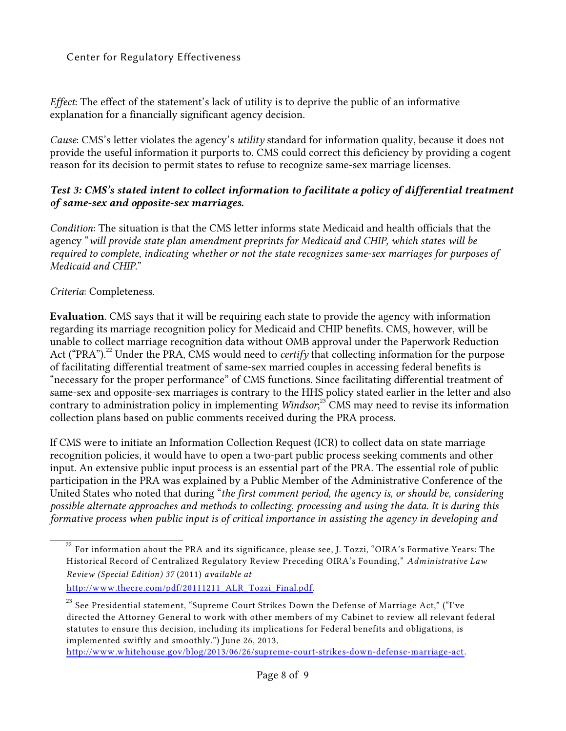*Effect*: The effect of the statement's lack of utility is to deprive the public of an informative explanation for a financially significant agency decision.

*Cause*: CMS's letter violates the agency's *utility* standard for information quality, because it does not provide the useful information it purports to. CMS could correct this deficiency by providing a cogent reason for its decision to permit states to refuse to recognize same-sex marriage licenses.

#### *Test 3: CMS's stated intent to collect information to facilitate a policy of differential treatment of same-sex and opposite-sex marriages.*

*Condition*: The situation is that the CMS letter informs state Medicaid and health officials that the agency "*will provide state plan amendment preprints for Medicaid and CHIP, which states will be required to complete, indicating whether or not the state recognizes same-sex marriages for purposes of Medicaid and CHIP.*"

*Criteria*: Completeness.

**Evaluation***.* CMS says that it will be requiring each state to provide the agency with information regarding its marriage recognition policy for Medicaid and CHIP benefits. CMS, however, will be unable to collect marriage recognition data without OMB approval under the Paperwork Reduction Act ("PRA").<sup>22</sup> Under the PRA, CMS would need to *certify* that collecting information for the purpose of facilitating differential treatment of same-sex married couples in accessing federal benefits is "necessary for the proper performance" of CMS functions. Since facilitating differential treatment of same-sex and opposite-sex marriages is contrary to the HHS policy stated earlier in the letter and also contrary to administration policy in implementing *Windsor*<sup>23</sup><sup>+</sup>CMS may need to revise its information collection plans based on public comments received during the PRA process.

If CMS were to initiate an Information Collection Request (ICR) to collect data on state marriage recognition policies, it would have to open a two-part public process seeking comments and other input. An extensive public input process is an essential part of the PRA. The essential role of public participation in the PRA was explained by a Public Member of the Administrative Conference of the United States who noted that during "*the first comment period, the agency is, or should be, considering possible alternate approaches and methods to collecting, processing and using the data. It is during this formative process when public input is of critical importance in assisting the agency in developing and*

 $^{22}$  For information about the PRA and its significance, please see, J. Tozzi, "OIRA's Formative Years: The Historical Record of Centralized Regulatory Review Preceding OIRA's Founding," *Administrative Law Review (Special Edition) 37* (2011) *available at* [http://www.thecre.com/pdf/20111211\\_ALR\\_Tozzi\\_Final.pdf](http://www.thecre.com/pdf/20111211_ALR_Tozzi_Final.pdf).

 $^{23}$  See Presidential statement, "Supreme Court Strikes Down the Defense of Marriage Act," ("I've directed the Attorney General to work with other members of my Cabinet to review all relevant federal statutes to ensure this decision, including its implications for Federal benefits and obligations, is implemented swiftly and smoothly.") June 26, 2013,

<http://www.whitehouse.gov/blog/2013/06/26/supreme-court-strikes-down-defense-marriage-act>.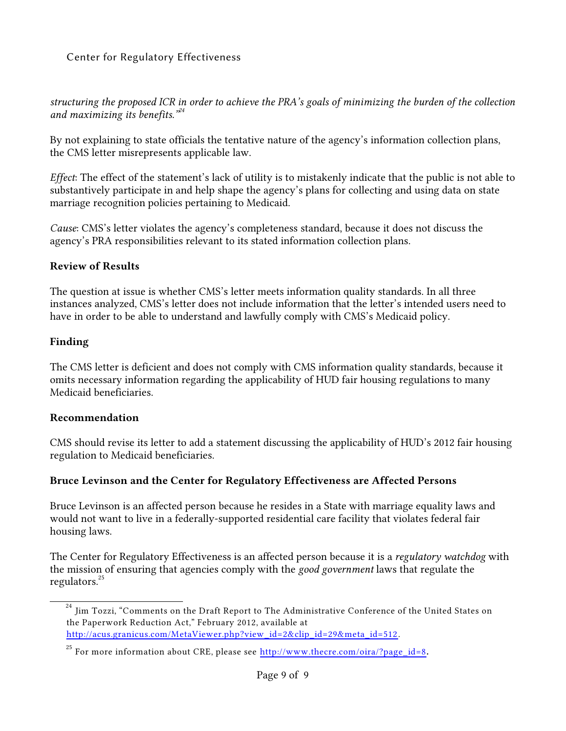*structuring the proposed ICR in order to achieve the PRA's goals of minimizing the burden of the collection and maximizing its benefits."<sup>24</sup>*

By not explaining to state officials the tentative nature of the agency's information collection plans, the CMS letter misrepresents applicable law.

*Effect*: The effect of the statement's lack of utility is to mistakenly indicate that the public is not able to substantively participate in and help shape the agency's plans for collecting and using data on state marriage recognition policies pertaining to Medicaid.

*Cause*: CMS's letter violates the agency's completeness standard, because it does not discuss the agency's PRA responsibilities relevant to its stated information collection plans.

#### **Review of Results**

The question at issue is whether CMS's letter meets information quality standards. In all three instances analyzed, CMS's letter does not include information that the letter's intended users need to have in order to be able to understand and lawfully comply with CMS's Medicaid policy.

#### **Finding**

The CMS letter is deficient and does not comply with CMS information quality standards, because it omits necessary information regarding the applicability of HUD fair housing regulations to many Medicaid beneficiaries.

#### **Recommendation**

CMS should revise its letter to add a statement discussing the applicability of HUD's 2012 fair housing regulation to Medicaid beneficiaries.

#### **Bruce Levinson and the Center for Regulatory Effectiveness are Affected Persons**

Bruce Levinson is an affected person because he resides in a State with marriage equality laws and would not want to live in a federally-supported residential care facility that violates federal fair housing laws.

The Center for Regulatory Effectiveness is an affected person because it is a *regulatory watchdog* with the mission of ensuring that agencies comply with the *good government* laws that regulate the regulators. $^{25}$ 

Jim Tozzi, "Comments on the Draft Report to The Administrative Conference of the United States on 24 the Paperwork Reduction Act," February 2012, available at [http://acus.granicus.com/MetaViewer.php?view\\_id=2&clip\\_id=29&meta\\_id=512](http://acus.granicus.com/MetaViewer.php?view_id=2&clip_id=29&meta_id=512) .

<sup>&</sup>lt;sup>25</sup> For more information about CRE, please see <u>[http://www.thecre.com/oira/?page\\_id=8](http://www.thecre.com/oira/?page_id=8)</u>.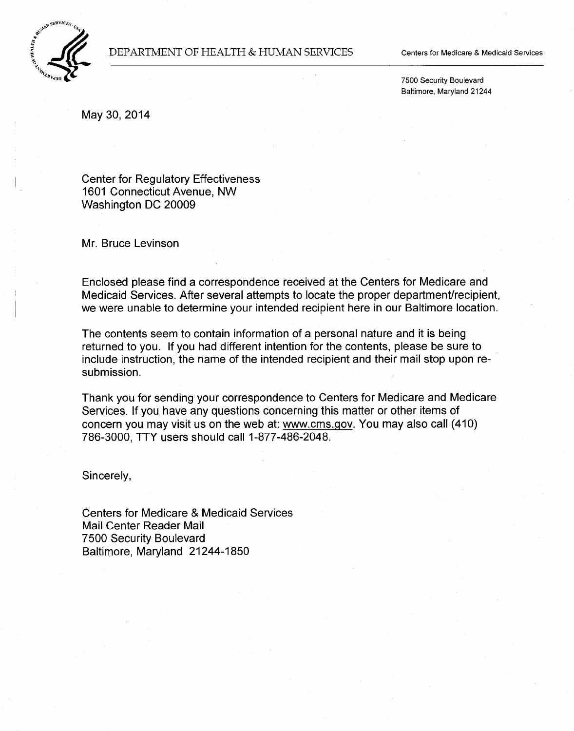

#### DEPARTMENT OF HEALTH & HUMAN SERVICES

Centers for Medicare & Medicaid Services

7500 Security Boulevard Baltimore, Maryland 21244

May 30, 2014

Center for Regulatory Effectiveness 1601 Connecticut Avenue, NW Washington DC 20009

Mr. Bruce Levinson

Enclosed please find a correspondence received at the Centers for Medicare and Medicaid Services. After several attempts to locate the proper department/recipient, we were unable to determine your intended recipient here in our Baltimore location.

The contents seem to contain information of a personal nature and it is being returned to you. If you had different intention for the contents, please be sure to include instruction, the name of the intended recipient and their mail stop upon resubmission.

Thank you for sending your correspondence to Centers for Medicare and Medicare Services. If you have any questions concerning this matter or other items of concern you may visit us on the web at: www.cms.gov. You may also call (410) 786-3000, TTY users should call 1-877-486-2048.

Sincerely,

Centers for Medicare & Medicaid Services Mail Center Reader Mail 7500 Security Boulevard Baltimore, Maryland 21244-1850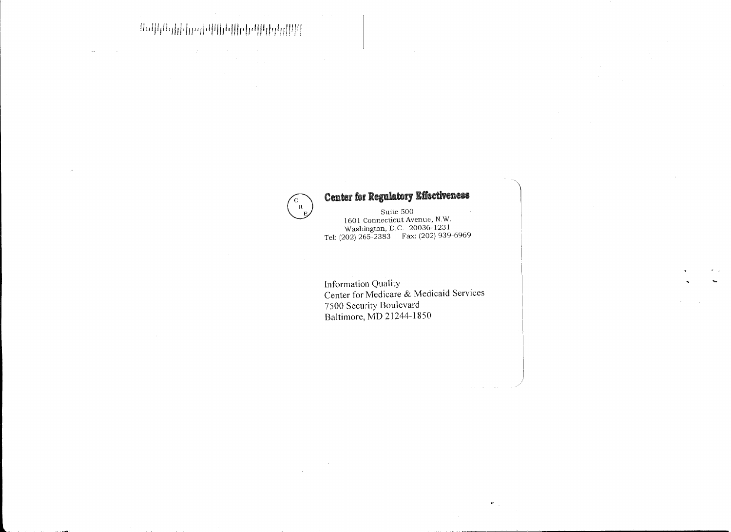**<sup>H</sup>***#.* **lU ln** *u!* **f L** f.l,: **l :UIU :f: Ii f.: f.: flif. LIt. f fJi H! .. .:.!"!'''Ud'!i . .. !l"'i I i** 

# $\begin{pmatrix} 1 & 0 & 0 \\ 0 & 0 & 0 \\ 0 & 0 & 0 \\ 0 & 0 & 0 \end{pmatrix}$  Center for Regulatory Effectiveness

Washington, D.C. 20036-1231 Tel: (202) 265-2383 Fax: (202) 939-6969

Information Quality Center for Medicare & Medicaid Services 7500 Security Boulevard Baltimore, MD 21244-1850

)

 $\mathbf{W}^{\dagger}$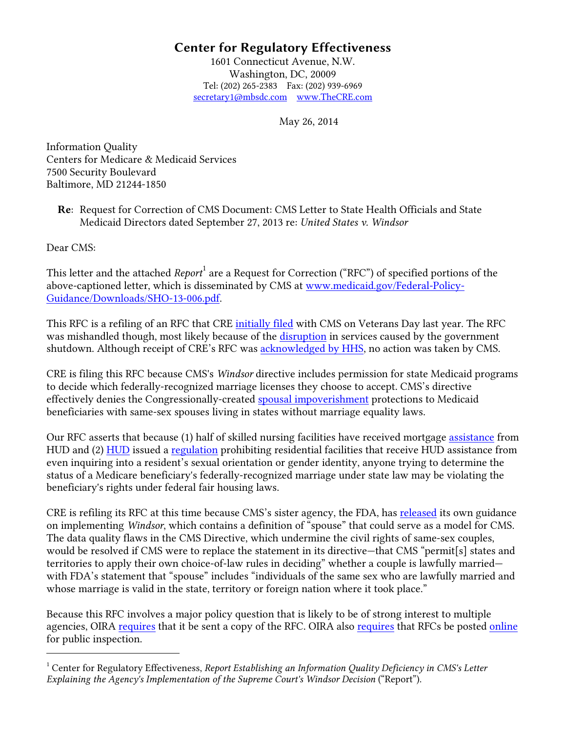1601 Connecticut Avenue, N.W. Washington, DC, 20009 Tel: (202) 265-2383 Fax: (202) 939-6969 [secretary1@mbsdc.com](mailto:secretary1@mbsdc.com) [www.TheCRE.com](http://www.thecre.com/)

May 26, 2014

Information Quality Centers for Medicare & Medicaid Services 7500 Security Boulevard Baltimore, MD 21244-1850

Re: Request for Correction of CMS Document: CMS Letter to State Health Officials and State Medicaid Directors dated September 27, 2013 re: *United States v. Windsor*

Dear CMS:

-

This letter and the attached *Report*<sup>[1](#page-14-0)</sup> are a Request for Correction ("RFC") of specified portions of the above-captioned letter, which is disseminated by CMS at [www.medicaid.gov/Federal-Policy-](http://www.medicaid.gov/Federal-Policy-Guidance/Downloads/SHO-13-006.pdf)[Guidance/Downloads/SHO-13-006.pdf.](http://www.medicaid.gov/Federal-Policy-Guidance/Downloads/SHO-13-006.pdf)

This RFC is a refiling of an RFC that CRE [initially filed](http://www.thecre.com/pdf/CRE.CMS-DQA_Filing.pdf) with CMS on Veterans Day last year. The RFC was mishandled though, most likely because of the [disruption](http://www.whitehouse.gov/sites/default/files/omb/reports/impacts-and-costs-of-october-2013-federal-government-shutdown-report.pdf) in services caused by the government shutdown. Although receipt of CRE's RFC was **acknowledged by HHS**, no action was taken by CMS.

CRE is filing this RFC because CMS's *Windsor* directive includes permission for state Medicaid programs to decide which federally-recognized marriage licenses they choose to accept. CMS's directive effectively denies the Congressionally-created [spousal impoverishment](http://www.medicaid.gov/Medicaid-CHIP-Program-Information/By-Topics/Eligibility/Spousal-Impoverishment-Page.html) protections to Medicaid beneficiaries with same-sex spouses living in states without marriage equality laws.

Our RFC asserts that because (1) half of skilled nursing facilities have received mortgage [assistance](http://portal.hud.gov/hudportal/HUD?src=/federal_housing_administration/healthcare_facilities) from HUD and (2) [HUD](http://portal.hud.gov/hudportal/HUD?src=/federal_housing_administration/healthcare_facilities) issued a [regulation](https://www.federalregister.gov/articles/2012/02/03/2012-2343/equal-access-to-housing-in-hud-programs-regardless-of-sexual-orientation-or-gender-identity) prohibiting residential facilities that receive HUD assistance from even inquiring into a resident's sexual orientation or gender identity, anyone trying to determine the status of a Medicare beneficiary's federally-recognized marriage under state law may be violating the beneficiary's rights under federal fair housing laws.

CRE is refiling its RFC at this time because CMS's sister agency, the FDA, has [released](https://www.federalregister.gov/articles/2014/04/03/2014-07457/the-meaning-of-spouse-and-family-in-the-food-and-drug-administrations-regulations-after-the-supreme) its own guidance on implementing *Windsor*, which contains a definition of "spouse" that could serve as a model for CMS. The data quality flaws in the CMS Directive, which undermine the civil rights of same-sex couples, would be resolved if CMS were to replace the statement in its directive—that CMS "permit[s] states and territories to apply their own choice-of-law rules in deciding" whether a couple is lawfully married with FDA's statement that "spouse" includes "individuals of the same sex who are lawfully married and whose marriage is valid in the state, territory or foreign nation where it took place."

Because this RFC involves a major policy question that is likely to be of strong interest to multiple agencies, OIRA [requires](http://www.whitehouse.gov/sites/default/files/omb/assets/omb/inforeg/pmcmemo.pdf) that it be sent a copy of the RFC. OIRA also [requires](http://www.whitehouse.gov/sites/default/files/omb/assets/omb/inforeg/info_quality_posting_083004.pdf) that RFCs be posted [online](http://aspe.hhs.gov/infoquality/requests.shtml) for public inspection.

<span id="page-14-0"></span><sup>1</sup> Center for Regulatory Effectiveness, *Report Establishing an Information Quality Deficiency in CMS's Letter Explaining the Agency's Implementation of the Supreme Court's Windsor Decision* ("Report").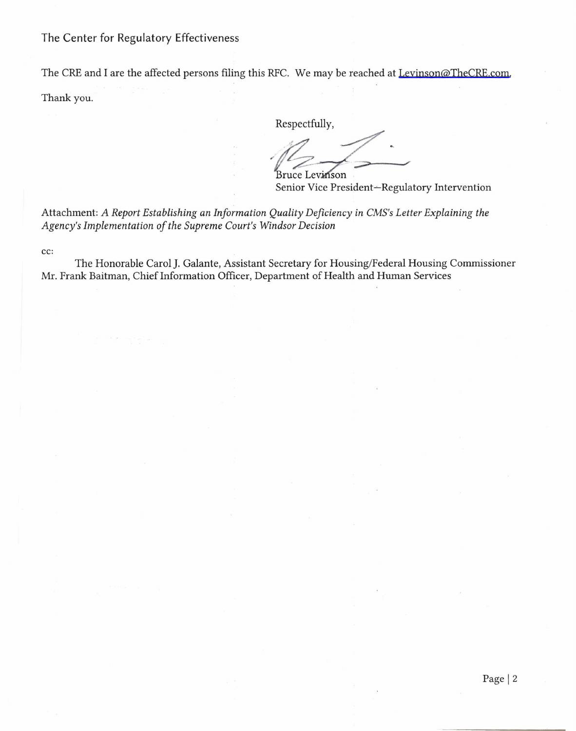The CRE and I are the affected persons filing this RFC. We may be reached at Levinson@TheCRE.com. Thank you.

Respectfully,

**Bruce Levinson** 

Senior Vice President-Regulatory Intervention

Attachment: *A Report Establishing an Information Quality Deficiency in CMS's Letter Explaining the Agency's Implementation of the Supreme Court's Windsor Decision* 

cc:

The Honorable Carol]. Galante, Assistant Secretary for Housing/Federal Housing Commissioner Mr. Frank Baitman, Chief Information Officer, Department of Health and Human Services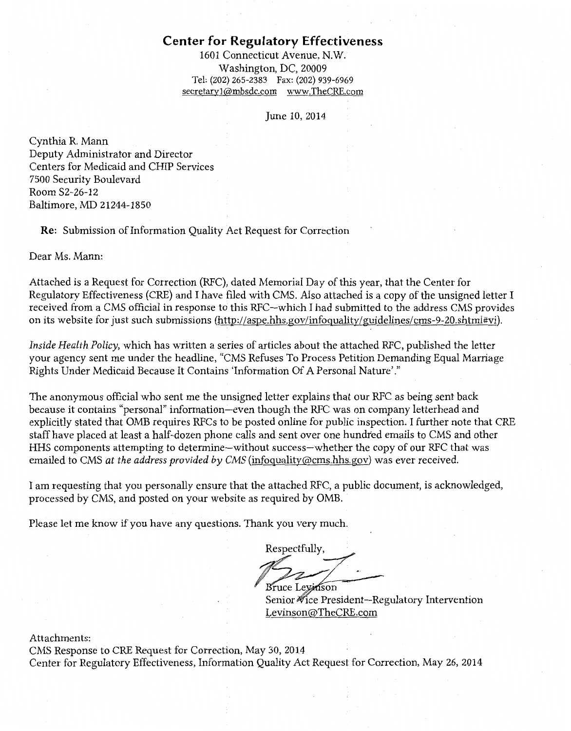1601 Connecticut Avenue, N.W. Washington, DC, 20009 Tel: (202) 265-2383 Fax: (202) 939-6969 secretaryl@mbsdc.com www.TheCRE.com

June 10, 2014

Cynthia R. Mann Deputy Administrator and Director Centers for Medicaid and CHIP Services 7500 Security Boulevard Room S2-26-12 Baltimore, MD 21244-1850

Re: Submission of Information Quality Act Request for Correction

Dear Ms. Mann:

Attached is a Request for Correction (RFC), dated Memorial Day of this year, that the Center for Regulatory Effectiveness (CRE) and I have filed with CMS. Also attached is a copy of the unsigned letter I received from a CMS official in response to this RFC-which I had submitted to the address CMS provides on its website for just such submissions (http://aspe.hhs.gov/infoquality/guidelines/cms-9-20.shtml#vi).

*Inside Health Policy,* which has written a series of articles about the attached RFC, published the letter your agency sent me under the headline, "CMS Refuses To Process Petition Demanding Equal Marriage Rights Under Medicaid Because It Contains 'Information Of A Personal Nature'."

The anonymous official who sent me the unsigned letter explains that our RFC as being sent back because it contains "personal" information-even though the RFC was on company letterhead and explicitly stated that OMB requires RFCs to be posted online for public inspection. I further note that CRE staff have placed at least a half-dozen phone calls and sent over one hundred emails to CMS and other HHS components attempting to determine-without success-whether the copy of our RFC that was emailed to CMS *at the address provided by CMS* (infoquality@cms.hhs.gov) was ever received.

I am requesting that you personally ensure that the attached RFC, a public document, is acknowledged, processed by CMS, and posted on your website as required by OMB.

Please let me know if you have any questions. Thank you very much.

Respectfully Bruce Leyinson

Senior ∜ice President-Regulatory Intervention Levinson@TheCRE.com

Attachments:

CMS Response to CRE Request for Correction, May 30, 2014 Center for Regulatory Effectiveness, Information Quality Act Request for Correction, May 26, 2014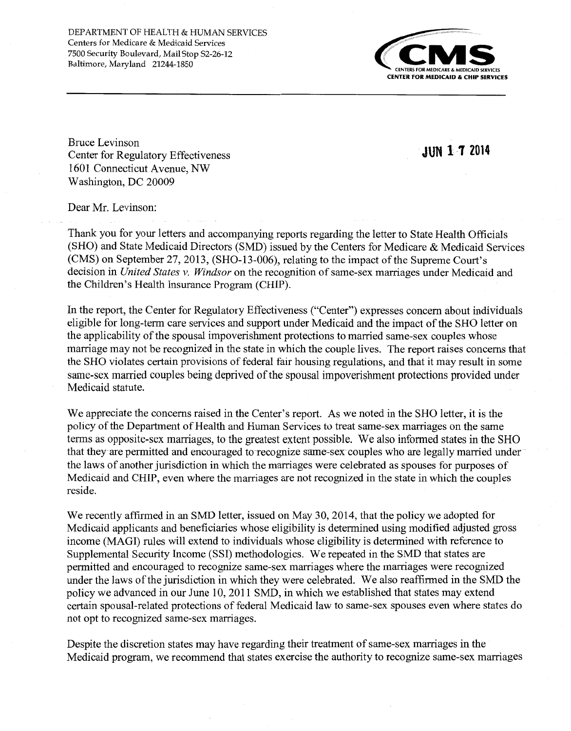DEPARTMENT OF HEALTH & HUMAN SERVICES Centers for Medicare & Medicaid Services 7500 Security Boulevard, Mail Stop S2-26-12 Baltimore, Maryland 21244-1850



Bruce Levinson Center for Regulatory Effectiveness 1601 Connecticut Avenue, NW Washington, DC 20009

**JUN 1 'J 2014** 

Dear Mr. Levinson:

Thank you for your letters and accompanying reports regarding the letter to State Health Officials (SHO) and State Medicaid Directors (SMD) issued by the Centers for Medicare & Medicaid Services (CMS) on September 27, 2013, (SH0-13-006), relating to the impact of the Supreme Court's decision in *United States v. Windsor* on the recognition of same-sex marriages under Medicaid and the Children's Health Insurance Program (CHIP).

In the report, the Center for Regulatory Effectiveness ("Center") expresses concern about individuals eligible for long-term care services and support under Medicaid and the impact of the SHO letter on the applicability of the spousal impoverishment protections to married same-sex couples whose marriage may not be recognized in the state in which the couple lives. The report raises concerns that the SHO violates certain provisions of federal fair housing regulations, and that it may result in some same-sex married couples being deprived of the spousal impoverishment protections provided under Medicaid statute.

We appreciate the concerns raised in the Center's report. As we noted in the SHO letter, it is the policy of the Department of Health and Human Services to treat same-sex marriages on the same terms as opposite-sex marriages, to the greatest extent possible. We also informed states in the SHO that they are permitted and encouraged to recognize same-sex couples who are legally married under the laws of another jurisdiction in which the marriages were celebrated as spouses for purposes of Medicaid and CHIP, even where the marriages are not recognized in the state in which the couples reside.

We recently affirmed in an SMD letter, issued on May 30, 2014, that the policy we adopted for Medicaid applicants and beneficiaries whose eligibility is determined using modified adjusted gross income (MAGI) rules will extend to individuals whose eligibility is determined with reference to Supplemental Security Income (SSI) methodologies. We repeated in the SMD that states are permitted and encouraged to recognize same-sex marriages where the marriages were recognized under the laws of the jurisdiction in which they were celebrated. We also reaffirmed in the SMD the policy we advanced in our June 10, 2011 SMD, in which we established that states may extend certain spousal-related protections of federal Medicaid law to same-sex spouses even where states do not opt to recognized same-sex marriages.

Despite the discretion states may have regarding their treatment of same-sex marriages in the Medicaid program, we recommend that states exercise the authority to recognize same-sex marriages